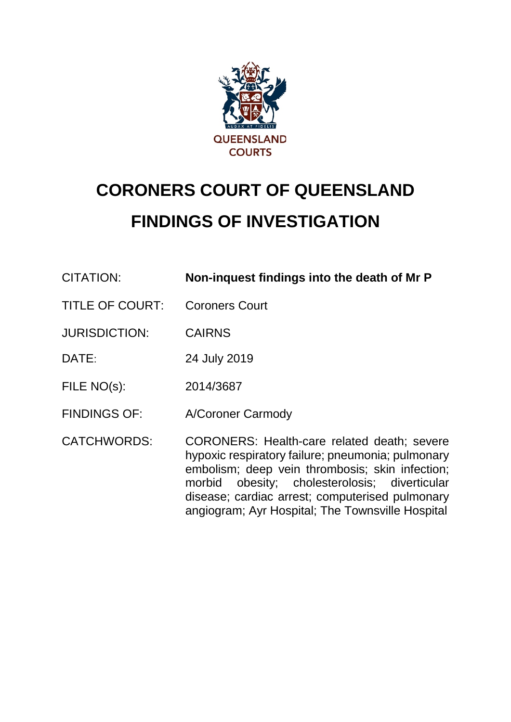

# **CORONERS COURT OF QUEENSLAND FINDINGS OF INVESTIGATION**

| <b>CITATION:</b>       | Non-inquest findings into the death of Mr P                                                                                                                                                                                                                                                                           |
|------------------------|-----------------------------------------------------------------------------------------------------------------------------------------------------------------------------------------------------------------------------------------------------------------------------------------------------------------------|
| <b>TITLE OF COURT:</b> | <b>Coroners Court</b>                                                                                                                                                                                                                                                                                                 |
| <b>JURISDICTION:</b>   | <b>CAIRNS</b>                                                                                                                                                                                                                                                                                                         |
| DATE:                  | 24 July 2019                                                                                                                                                                                                                                                                                                          |
| FILE NO(s):            | 2014/3687                                                                                                                                                                                                                                                                                                             |
| <b>FINDINGS OF:</b>    | A/Coroner Carmody                                                                                                                                                                                                                                                                                                     |
| <b>CATCHWORDS:</b>     | <b>CORONERS: Health-care related death; severe</b><br>hypoxic respiratory failure; pneumonia; pulmonary<br>embolism; deep vein thrombosis; skin infection;<br>obesity; cholesterolosis; diverticular<br>morbid<br>disease; cardiac arrest; computerised pulmonary<br>angiogram; Ayr Hospital; The Townsville Hospital |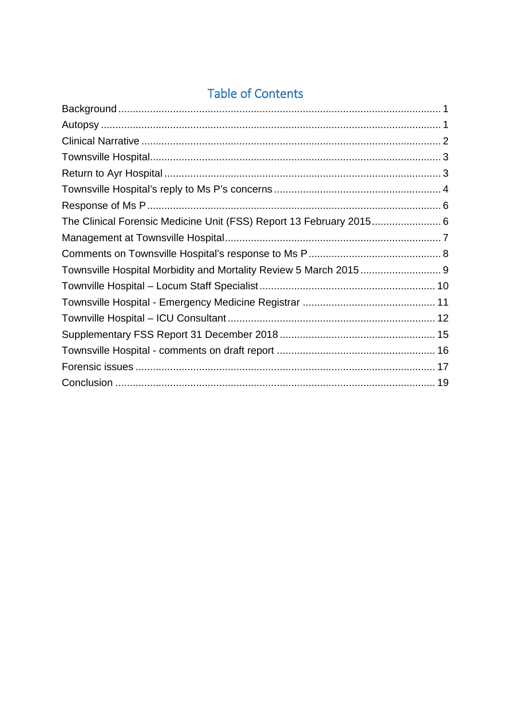# **Table of Contents**

| The Clinical Forensic Medicine Unit (FSS) Report 13 February 2015 6 |  |
|---------------------------------------------------------------------|--|
|                                                                     |  |
|                                                                     |  |
|                                                                     |  |
|                                                                     |  |
|                                                                     |  |
|                                                                     |  |
|                                                                     |  |
|                                                                     |  |
|                                                                     |  |
|                                                                     |  |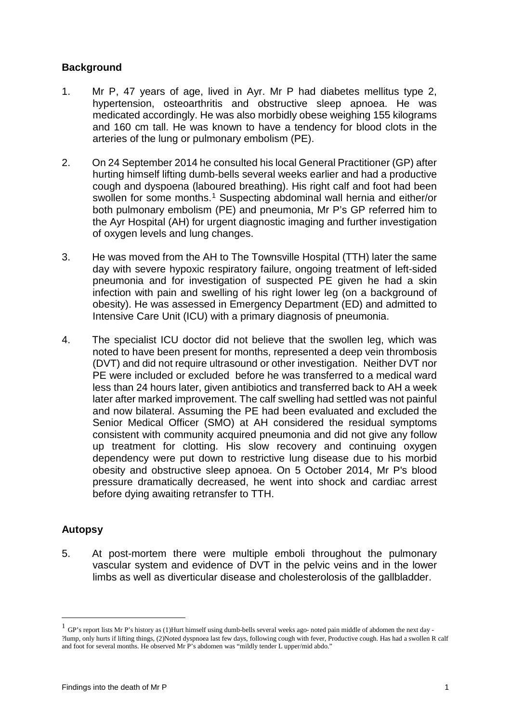# <span id="page-2-0"></span>**Background**

- 1. Mr P, 47 years of age, lived in Ayr. Mr P had diabetes mellitus type 2, hypertension, osteoarthritis and obstructive sleep apnoea. He was medicated accordingly. He was also morbidly obese weighing 155 kilograms and 160 cm tall. He was known to have a tendency for blood clots in the arteries of the lung or pulmonary embolism (PE).
- 2. On 24 September 2014 he consulted his local General Practitioner (GP) after hurting himself lifting dumb-bells several weeks earlier and had a productive cough and dyspoena (laboured breathing). His right calf and foot had been swollen for some months.<sup>[1](#page-2-2)</sup> Suspecting abdominal wall hernia and either/or both pulmonary embolism (PE) and pneumonia, Mr P's GP referred him to the Ayr Hospital (AH) for urgent diagnostic imaging and further investigation of oxygen levels and lung changes.
- 3. He was moved from the AH to The Townsville Hospital (TTH) later the same day with severe hypoxic respiratory failure, ongoing treatment of left-sided pneumonia and for investigation of suspected PE given he had a skin infection with pain and swelling of his right lower leg (on a background of obesity). He was assessed in Emergency Department (ED) and admitted to Intensive Care Unit (ICU) with a primary diagnosis of pneumonia.
- 4. The specialist ICU doctor did not believe that the swollen leg, which was noted to have been present for months, represented a deep vein thrombosis (DVT) and did not require ultrasound or other investigation. Neither DVT nor PE were included or excluded before he was transferred to a medical ward less than 24 hours later, given antibiotics and transferred back to AH a week later after marked improvement. The calf swelling had settled was not painful and now bilateral. Assuming the PE had been evaluated and excluded the Senior Medical Officer (SMO) at AH considered the residual symptoms consistent with community acquired pneumonia and did not give any follow up treatment for clotting. His slow recovery and continuing oxygen dependency were put down to restrictive lung disease due to his morbid obesity and obstructive sleep apnoea. On 5 October 2014, Mr P's blood pressure dramatically decreased, he went into shock and cardiac arrest before dying awaiting retransfer to TTH.

# <span id="page-2-1"></span>**Autopsy**

<u>.</u>

5. At post-mortem there were multiple emboli throughout the pulmonary vascular system and evidence of DVT in the pelvic veins and in the lower limbs as well as diverticular disease and cholesterolosis of the gallbladder.

<span id="page-2-2"></span><sup>1</sup> GP's report lists Mr P's history as (1)Hurt himself using dumb-bells several weeks ago- noted pain middle of abdomen the next day - ?lump, only hurts if lifting things, (2)Noted dyspnoea last few days, following cough with fever, Productive cough. Has had a swollen R calf and foot for several months. He observed Mr P's abdomen was "mildly tender L upper/mid abdo."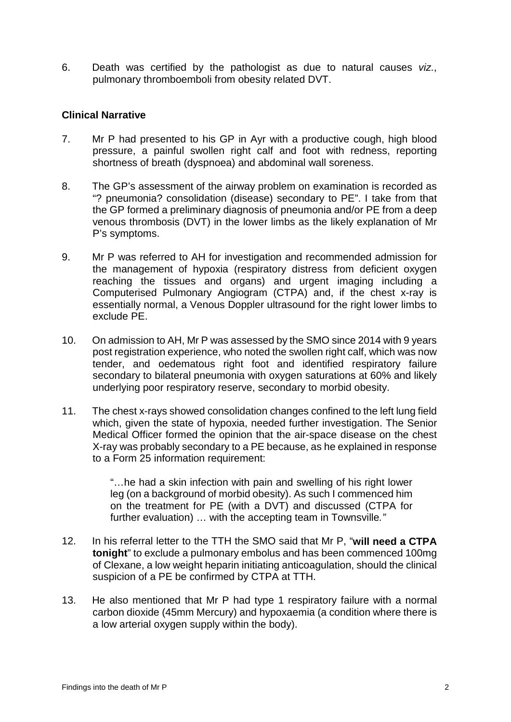6. Death was certified by the pathologist as due to natural causes *viz*., pulmonary thromboemboli from obesity related DVT.

#### <span id="page-3-0"></span>**Clinical Narrative**

- 7. Mr P had presented to his GP in Ayr with a productive cough, high blood pressure, a painful swollen right calf and foot with redness, reporting shortness of breath (dyspnoea) and abdominal wall soreness.
- 8. The GP's assessment of the airway problem on examination is recorded as "? pneumonia? consolidation (disease) secondary to PE". I take from that the GP formed a preliminary diagnosis of pneumonia and/or PE from a deep venous thrombosis (DVT) in the lower limbs as the likely explanation of Mr P's symptoms.
- 9. Mr P was referred to AH for investigation and recommended admission for the management of hypoxia (respiratory distress from deficient oxygen reaching the tissues and organs) and urgent imaging including a Computerised Pulmonary Angiogram (CTPA) and, if the chest x-ray is essentially normal, a Venous Doppler ultrasound for the right lower limbs to exclude PE.
- 10. On admission to AH, Mr P was assessed by the SMO since 2014 with 9 years post registration experience, who noted the swollen right calf, which was now tender, and oedematous right foot and identified respiratory failure secondary to bilateral pneumonia with oxygen saturations at 60% and likely underlying poor respiratory reserve, secondary to morbid obesity.
- 11. The chest x-rays showed consolidation changes confined to the left lung field which, given the state of hypoxia, needed further investigation. The Senior Medical Officer formed the opinion that the air-space disease on the chest X-ray was probably secondary to a PE because, as he explained in response to a Form 25 information requirement:

"…he had a skin infection with pain and swelling of his right lower leg (on a background of morbid obesity). As such I commenced him on the treatment for PE (with a DVT) and discussed (CTPA for further evaluation) … with the accepting team in Townsville*."*

- 12. In his referral letter to the TTH the SMO said that Mr P, "**will need a CTPA tonight**" to exclude a pulmonary embolus and has been commenced 100mg of Clexane, a low weight heparin initiating anticoagulation, should the clinical suspicion of a PE be confirmed by CTPA at TTH.
- 13. He also mentioned that Mr P had type 1 respiratory failure with a normal carbon dioxide (45mm Mercury) and hypoxaemia (a condition where there is a low arterial oxygen supply within the body).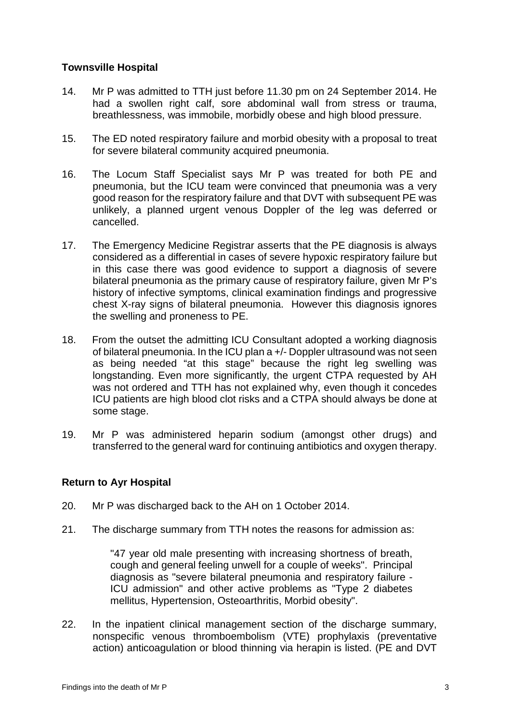# <span id="page-4-0"></span>**Townsville Hospital**

- 14. Mr P was admitted to TTH just before 11.30 pm on 24 September 2014. He had a swollen right calf, sore abdominal wall from stress or trauma, breathlessness, was immobile, morbidly obese and high blood pressure.
- 15. The ED noted respiratory failure and morbid obesity with a proposal to treat for severe bilateral community acquired pneumonia.
- 16. The Locum Staff Specialist says Mr P was treated for both PE and pneumonia, but the ICU team were convinced that pneumonia was a very good reason for the respiratory failure and that DVT with subsequent PE was unlikely, a planned urgent venous Doppler of the leg was deferred or cancelled.
- 17. The Emergency Medicine Registrar asserts that the PE diagnosis is always considered as a differential in cases of severe hypoxic respiratory failure but in this case there was good evidence to support a diagnosis of severe bilateral pneumonia as the primary cause of respiratory failure, given Mr P's history of infective symptoms, clinical examination findings and progressive chest X-ray signs of bilateral pneumonia. However this diagnosis ignores the swelling and proneness to PE.
- 18. From the outset the admitting ICU Consultant adopted a working diagnosis of bilateral pneumonia. In the ICU plan a +/- Doppler ultrasound was not seen as being needed "at this stage" because the right leg swelling was longstanding. Even more significantly, the urgent CTPA requested by AH was not ordered and TTH has not explained why, even though it concedes ICU patients are high blood clot risks and a CTPA should always be done at some stage.
- 19. Mr P was administered heparin sodium (amongst other drugs) and transferred to the general ward for continuing antibiotics and oxygen therapy.

# <span id="page-4-1"></span>**Return to Ayr Hospital**

- 20. Mr P was discharged back to the AH on 1 October 2014.
- 21. The discharge summary from TTH notes the reasons for admission as:

"47 year old male presenting with increasing shortness of breath, cough and general feeling unwell for a couple of weeks". Principal diagnosis as "severe bilateral pneumonia and respiratory failure - ICU admission" and other active problems as "Type 2 diabetes mellitus, Hypertension, Osteoarthritis, Morbid obesity".

22. In the inpatient clinical management section of the discharge summary, nonspecific venous thromboembolism (VTE) prophylaxis (preventative action) anticoagulation or blood thinning via herapin is listed. (PE and DVT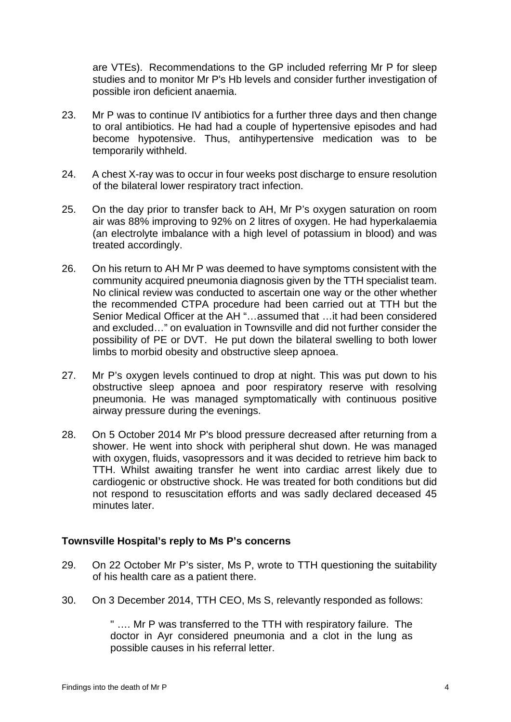are VTEs). Recommendations to the GP included referring Mr P for sleep studies and to monitor Mr P's Hb levels and consider further investigation of possible iron deficient anaemia.

- 23. Mr P was to continue IV antibiotics for a further three days and then change to oral antibiotics. He had had a couple of hypertensive episodes and had become hypotensive. Thus, antihypertensive medication was to be temporarily withheld.
- 24. A chest X-ray was to occur in four weeks post discharge to ensure resolution of the bilateral lower respiratory tract infection.
- 25. On the day prior to transfer back to AH, Mr P's oxygen saturation on room air was 88% improving to 92% on 2 litres of oxygen. He had hyperkalaemia (an electrolyte imbalance with a high level of potassium in blood) and was treated accordingly.
- 26. On his return to AH Mr P was deemed to have symptoms consistent with the community acquired pneumonia diagnosis given by the TTH specialist team. No clinical review was conducted to ascertain one way or the other whether the recommended CTPA procedure had been carried out at TTH but the Senior Medical Officer at the AH "…assumed that …it had been considered and excluded…" on evaluation in Townsville and did not further consider the possibility of PE or DVT. He put down the bilateral swelling to both lower limbs to morbid obesity and obstructive sleep apnoea.
- 27. Mr P's oxygen levels continued to drop at night. This was put down to his obstructive sleep apnoea and poor respiratory reserve with resolving pneumonia. He was managed symptomatically with continuous positive airway pressure during the evenings.
- 28. On 5 October 2014 Mr P's blood pressure decreased after returning from a shower. He went into shock with peripheral shut down. He was managed with oxygen, fluids, vasopressors and it was decided to retrieve him back to TTH. Whilst awaiting transfer he went into cardiac arrest likely due to cardiogenic or obstructive shock. He was treated for both conditions but did not respond to resuscitation efforts and was sadly declared deceased 45 minutes later.

#### <span id="page-5-0"></span>**Townsville Hospital's reply to Ms P's concerns**

- 29. On 22 October Mr P's sister, Ms P, wrote to TTH questioning the suitability of his health care as a patient there.
- 30. On 3 December 2014, TTH CEO, Ms S, relevantly responded as follows:

" …. Mr P was transferred to the TTH with respiratory failure. The doctor in Ayr considered pneumonia and a clot in the lung as possible causes in his referral letter.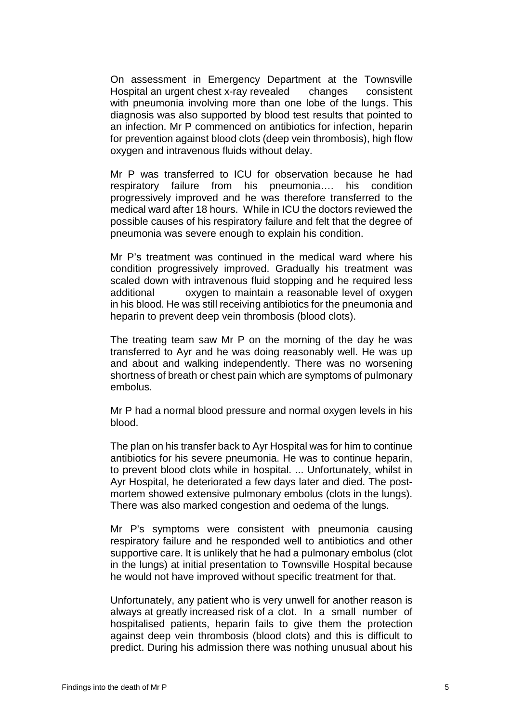On assessment in Emergency Department at the Townsville Hospital an urgent chest x-ray revealed changes consistent with pneumonia involving more than one lobe of the lungs. This diagnosis was also supported by blood test results that pointed to an infection. Mr P commenced on antibiotics for infection, heparin for prevention against blood clots (deep vein thrombosis), high flow oxygen and intravenous fluids without delay.

Mr P was transferred to ICU for observation because he had respiratory failure from his pneumonia…. his condition progressively improved and he was therefore transferred to the medical ward after 18 hours. While in ICU the doctors reviewed the possible causes of his respiratory failure and felt that the degree of pneumonia was severe enough to explain his condition.

Mr P's treatment was continued in the medical ward where his condition progressively improved. Gradually his treatment was scaled down with intravenous fluid stopping and he required less additional oxygen to maintain a reasonable level of oxygen in his blood. He was still receiving antibiotics for the pneumonia and heparin to prevent deep vein thrombosis (blood clots).

The treating team saw Mr P on the morning of the day he was transferred to Ayr and he was doing reasonably well. He was up and about and walking independently. There was no worsening shortness of breath or chest pain which are symptoms of pulmonary embolus.

Mr P had a normal blood pressure and normal oxygen levels in his blood.

The plan on his transfer back to Ayr Hospital was for him to continue antibiotics for his severe pneumonia. He was to continue heparin, to prevent blood clots while in hospital. ... Unfortunately, whilst in Ayr Hospital, he deteriorated a few days later and died. The postmortem showed extensive pulmonary embolus (clots in the lungs). There was also marked congestion and oedema of the lungs.

Mr P's symptoms were consistent with pneumonia causing respiratory failure and he responded well to antibiotics and other supportive care. It is unlikely that he had a pulmonary embolus (clot in the lungs) at initial presentation to Townsville Hospital because he would not have improved without specific treatment for that.

Unfortunately, any patient who is very unwell for another reason is always at greatly increased risk of a clot. In a small number of hospitalised patients, heparin fails to give them the protection against deep vein thrombosis (blood clots) and this is difficult to predict. During his admission there was nothing unusual about his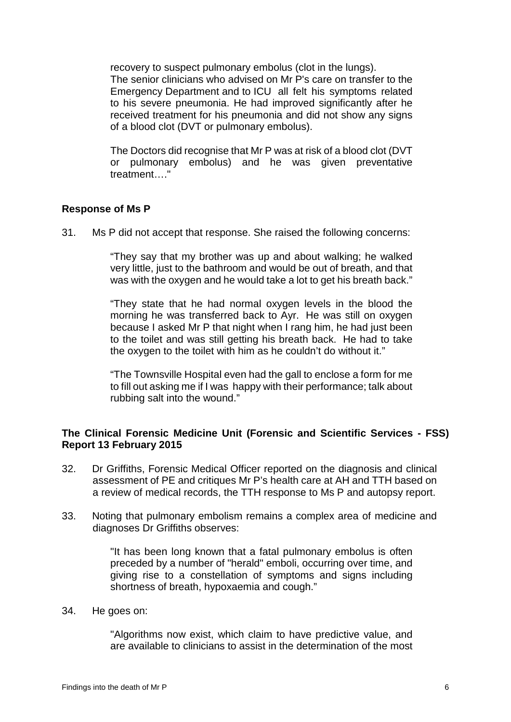recovery to suspect pulmonary embolus (clot in the lungs).

The senior clinicians who advised on Mr P's care on transfer to the Emergency Department and to ICU all felt his symptoms related to his severe pneumonia. He had improved significantly after he received treatment for his pneumonia and did not show any signs of a blood clot (DVT or pulmonary embolus).

The Doctors did recognise that Mr P was at risk of a blood clot (DVT or pulmonary embolus) and he was given preventative treatment "

# <span id="page-7-0"></span>**Response of Ms P**

31. Ms P did not accept that response. She raised the following concerns:

"They say that my brother was up and about walking; he walked very little, just to the bathroom and would be out of breath, and that was with the oxygen and he would take a lot to get his breath back."

"They state that he had normal oxygen levels in the blood the morning he was transferred back to Ayr. He was still on oxygen because I asked Mr P that night when I rang him, he had just been to the toilet and was still getting his breath back. He had to take the oxygen to the toilet with him as he couldn't do without it."

"The Townsville Hospital even had the gall to enclose a form for me to fill out asking me if I was happy with their performance; talk about rubbing salt into the wound."

#### <span id="page-7-1"></span>**The Clinical Forensic Medicine Unit (Forensic and Scientific Services - FSS) Report 13 February 2015**

- 32. Dr Griffiths, Forensic Medical Officer reported on the diagnosis and clinical assessment of PE and critiques Mr P's health care at AH and TTH based on a review of medical records, the TTH response to Ms P and autopsy report.
- 33. Noting that pulmonary embolism remains a complex area of medicine and diagnoses Dr Griffiths observes:

"It has been long known that a fatal pulmonary embolus is often preceded by a number of "herald" emboli, occurring over time, and giving rise to a constellation of symptoms and signs including shortness of breath, hypoxaemia and cough."

#### 34. He goes on:

"Algorithms now exist, which claim to have predictive value, and are available to clinicians to assist in the determination of the most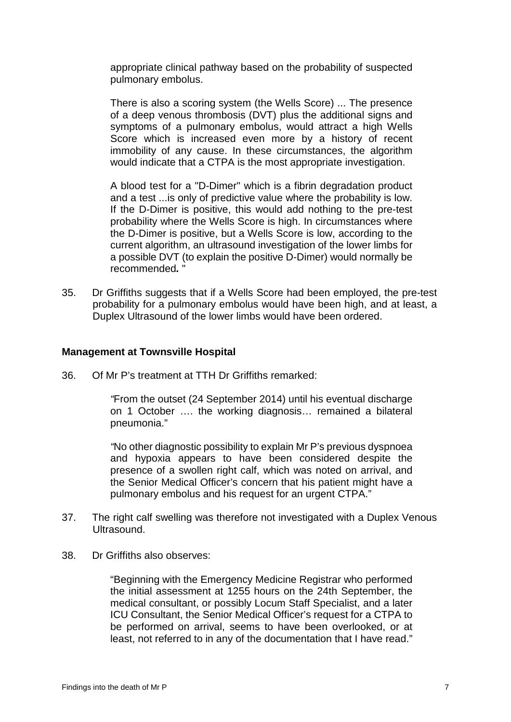appropriate clinical pathway based on the probability of suspected pulmonary embolus.

There is also a scoring system (the Wells Score) ... The presence of a deep venous thrombosis (DVT) plus the additional signs and symptoms of a pulmonary embolus, would attract a high Wells Score which is increased even more by a history of recent immobility of any cause. In these circumstances, the algorithm would indicate that a CTPA is the most appropriate investigation.

A blood test for a "D-Dimer" which is a fibrin degradation product and a test ...is only of predictive value where the probability is low. If the D-Dimer is positive, this would add nothing to the pre-test probability where the Wells Score is high. In circumstances where the D-Dimer is positive, but a Wells Score is low, according to the current algorithm, an ultrasound investigation of the lower limbs for a possible DVT (to explain the positive D-Dimer) would normally be recommended*.* "

35. Dr Griffiths suggests that if a Wells Score had been employed, the pre-test probability for a pulmonary embolus would have been high, and at least, a Duplex Ultrasound of the lower limbs would have been ordered.

#### <span id="page-8-0"></span>**Management at Townsville Hospital**

36. Of Mr P's treatment at TTH Dr Griffiths remarked:

*"*From the outset (24 September 2014) until his eventual discharge on 1 October …. the working diagnosis… remained a bilateral pneumonia."

*"*No other diagnostic possibility to explain Mr P's previous dyspnoea and hypoxia appears to have been considered despite the presence of a swollen right calf, which was noted on arrival, and the Senior Medical Officer's concern that his patient might have a pulmonary embolus and his request for an urgent CTPA."

- 37. The right calf swelling was therefore not investigated with a Duplex Venous Ultrasound.
- 38. Dr Griffiths also observes:

"Beginning with the Emergency Medicine Registrar who performed the initial assessment at 1255 hours on the 24th September, the medical consultant, or possibly Locum Staff Specialist, and a later ICU Consultant, the Senior Medical Officer's request for a CTPA to be performed on arrival, seems to have been overlooked, or at least, not referred to in any of the documentation that I have read."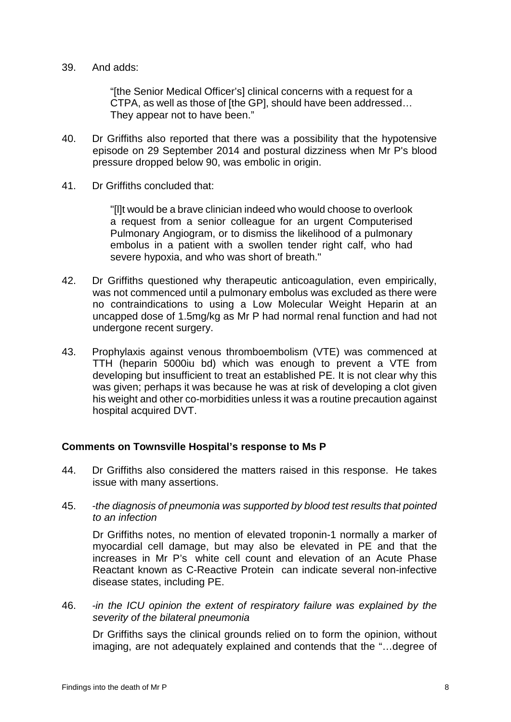#### 39. And adds:

"[the Senior Medical Officer's] clinical concerns with a request for a CTPA, as well as those of [the GP], should have been addressed… They appear not to have been."

- 40. Dr Griffiths also reported that there was a possibility that the hypotensive episode on 29 September 2014 and postural dizziness when Mr P's blood pressure dropped below 90, was embolic in origin.
- 41. Dr Griffiths concluded that:

"[l]t would be a brave clinician indeed who would choose to overlook a request from a senior colleague for an urgent Computerised Pulmonary Angiogram, or to dismiss the likelihood of a pulmonary embolus in a patient with a swollen tender right calf, who had severe hypoxia, and who was short of breath."

- 42. Dr Griffiths questioned why therapeutic anticoagulation, even empirically, was not commenced until a pulmonary embolus was excluded as there were no contraindications to using a Low Molecular Weight Heparin at an uncapped dose of 1.5mg/kg as Mr P had normal renal function and had not undergone recent surgery.
- 43. Prophylaxis against venous thromboembolism (VTE) was commenced at TTH (heparin 5000iu bd) which was enough to prevent a VTE from developing but insufficient to treat an established PE. It is not clear why this was given; perhaps it was because he was at risk of developing a clot given his weight and other co-morbidities unless it was a routine precaution against hospital acquired DVT.

#### <span id="page-9-0"></span>**Comments on Townsville Hospital's response to Ms P**

- 44. Dr Griffiths also considered the matters raised in this response. He takes issue with many assertions.
- 45. *-the diagnosis of pneumonia was supported by blood test results that pointed to an infection*

Dr Griffiths notes, no mention of elevated troponin-1 normally a marker of myocardial cell damage, but may also be elevated in PE and that the increases in Mr P's white cell count and elevation of an Acute Phase Reactant known as C-Reactive Protein can indicate several non-infective disease states, including PE.

46. *-in the ICU opinion the extent of respiratory failure was explained by the severity of the bilateral pneumonia*

Dr Griffiths says the clinical grounds relied on to form the opinion, without imaging, are not adequately explained and contends that the "…degree of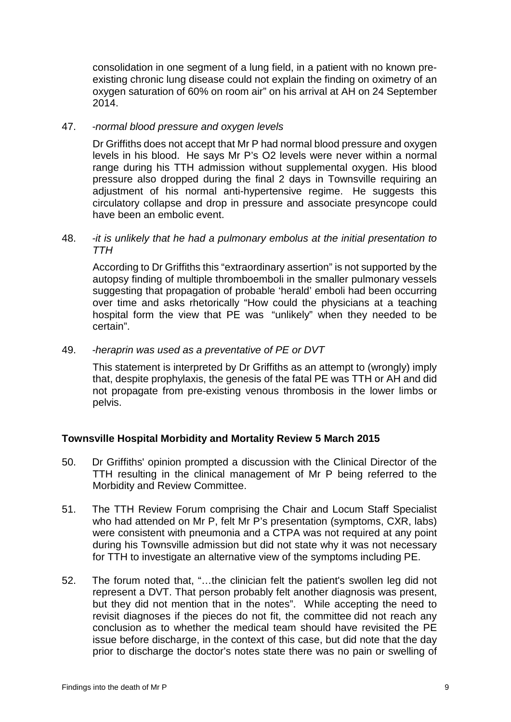consolidation in one segment of a lung field, in a patient with no known preexisting chronic lung disease could not explain the finding on oximetry of an oxygen saturation of 60% on room air" on his arrival at AH on 24 September 2014.

#### 47. *-normal blood pressure and oxygen levels*

Dr Griffiths does not accept that Mr P had normal blood pressure and oxygen levels in his blood. He says Mr P's O2 levels were never within a normal range during his TTH admission without supplemental oxygen. His blood pressure also dropped during the final 2 days in Townsville requiring an adjustment of his normal anti-hypertensive regime. He suggests this circulatory collapse and drop in pressure and associate presyncope could have been an embolic event.

#### 48. *-it is unlikely that he had a pulmonary embolus at the initial presentation to TTH*

According to Dr Griffiths this "extraordinary assertion" is not supported by the autopsy finding of multiple thromboemboli in the smaller pulmonary vessels suggesting that propagation of probable 'herald' emboli had been occurring over time and asks rhetorically "How could the physicians at a teaching hospital form the view that PE was "unlikely" when they needed to be certain".

#### 49. *-heraprin was used as a preventative of PE or DVT*

This statement is interpreted by Dr Griffiths as an attempt to (wrongly) imply that, despite prophylaxis, the genesis of the fatal PE was TTH or AH and did not propagate from pre-existing venous thrombosis in the lower limbs or pelvis.

#### <span id="page-10-0"></span>**Townsville Hospital Morbidity and Mortality Review 5 March 2015**

- 50. Dr Griffiths' opinion prompted a discussion with the Clinical Director of the TTH resulting in the clinical management of Mr P being referred to the Morbidity and Review Committee.
- 51. The TTH Review Forum comprising the Chair and Locum Staff Specialist who had attended on Mr P, felt Mr P's presentation (symptoms, CXR, labs) were consistent with pneumonia and a CTPA was not required at any point during his Townsville admission but did not state why it was not necessary for TTH to investigate an alternative view of the symptoms including PE.
- 52. The forum noted that, "…the clinician felt the patient's swollen leg did not represent a DVT. That person probably felt another diagnosis was present, but they did not mention that in the notes". While accepting the need to revisit diagnoses if the pieces do not fit, the committee did not reach any conclusion as to whether the medical team should have revisited the PE issue before discharge, in the context of this case, but did note that the day prior to discharge the doctor's notes state there was no pain or swelling of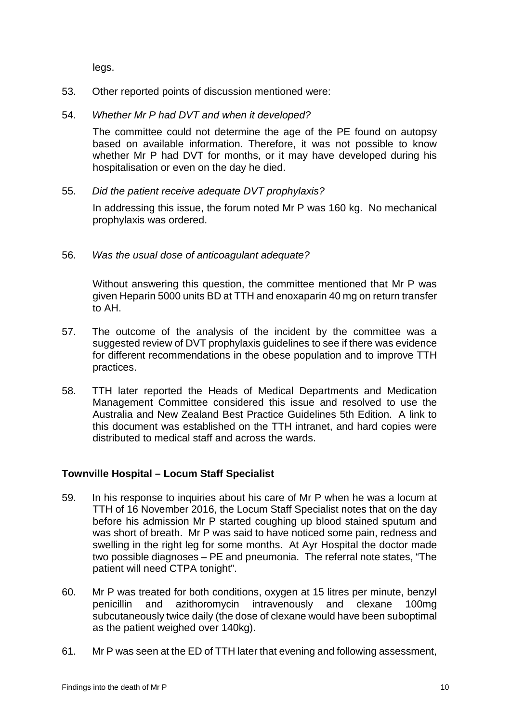legs.

- 53. Other reported points of discussion mentioned were:
- 54. *Whether Mr P had DVT and when it developed?*

The committee could not determine the age of the PE found on autopsy based on available information. Therefore, it was not possible to know whether Mr P had DVT for months, or it may have developed during his hospitalisation or even on the day he died.

55. *Did the patient receive adequate DVT prophylaxis?* 

In addressing this issue, the forum noted Mr P was 160 kg. No mechanical prophylaxis was ordered.

56. *Was the usual dose of anticoagulant adequate?*

Without answering this question, the committee mentioned that Mr P was given Heparin 5000 units BD at TTH and enoxaparin 40 mg on return transfer to AH.

- 57. The outcome of the analysis of the incident by the committee was a suggested review of DVT prophylaxis guidelines to see if there was evidence for different recommendations in the obese population and to improve TTH practices.
- 58. TTH later reported the Heads of Medical Departments and Medication Management Committee considered this issue and resolved to use the Australia and New Zealand Best Practice Guidelines 5th Edition. A link to this document was established on the TTH intranet, and hard copies were distributed to medical staff and across the wards.

#### <span id="page-11-0"></span>**Townville Hospital – Locum Staff Specialist**

- 59. In his response to inquiries about his care of Mr P when he was a locum at TTH of 16 November 2016, the Locum Staff Specialist notes that on the day before his admission Mr P started coughing up blood stained sputum and was short of breath. Mr P was said to have noticed some pain, redness and swelling in the right leg for some months. At Ayr Hospital the doctor made two possible diagnoses – PE and pneumonia. The referral note states, "The patient will need CTPA tonight".
- 60. Mr P was treated for both conditions, oxygen at 15 litres per minute, benzyl penicillin and azithoromycin intravenously and clexane 100mg subcutaneously twice daily (the dose of clexane would have been suboptimal as the patient weighed over 140kg).
- 61. Mr P was seen at the ED of TTH later that evening and following assessment,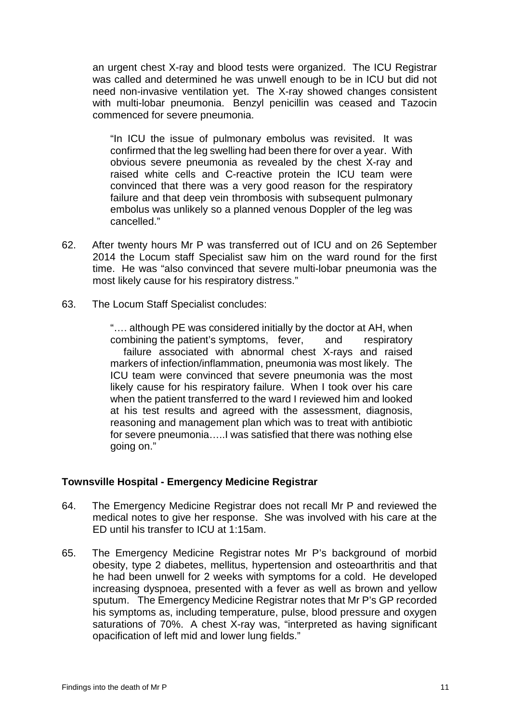an urgent chest X-ray and blood tests were organized. The ICU Registrar was called and determined he was unwell enough to be in ICU but did not need non-invasive ventilation yet. The X-ray showed changes consistent with multi-lobar pneumonia. Benzyl penicillin was ceased and Tazocin commenced for severe pneumonia.

"In ICU the issue of pulmonary embolus was revisited. It was confirmed that the leg swelling had been there for over a year. With obvious severe pneumonia as revealed by the chest X-ray and raised white cells and C-reactive protein the ICU team were convinced that there was a very good reason for the respiratory failure and that deep vein thrombosis with subsequent pulmonary embolus was unlikely so a planned venous Doppler of the leg was cancelled."

- 62. After twenty hours Mr P was transferred out of ICU and on 26 September 2014 the Locum staff Specialist saw him on the ward round for the first time. He was "also convinced that severe multi-lobar pneumonia was the most likely cause for his respiratory distress."
- 63. The Locum Staff Specialist concludes:

"…. although PE was considered initially by the doctor at AH, when combining the patient's symptoms, fever, and respiratory failure associated with abnormal chest X-rays and raised markers of infection/inflammation, pneumonia was most likely. The ICU team were convinced that severe pneumonia was the most likely cause for his respiratory failure. When I took over his care when the patient transferred to the ward I reviewed him and looked at his test results and agreed with the assessment, diagnosis, reasoning and management plan which was to treat with antibiotic for severe pneumonia…..I was satisfied that there was nothing else going on."

#### <span id="page-12-0"></span>**Townsville Hospital - Emergency Medicine Registrar**

- 64. The Emergency Medicine Registrar does not recall Mr P and reviewed the medical notes to give her response. She was involved with his care at the ED until his transfer to ICU at 1:15am.
- 65. The Emergency Medicine Registrar notes Mr P's background of morbid obesity, type 2 diabetes, mellitus, hypertension and osteoarthritis and that he had been unwell for 2 weeks with symptoms for a cold. He developed increasing dyspnoea, presented with a fever as well as brown and yellow sputum. The Emergency Medicine Registrar notes that Mr P's GP recorded his symptoms as, including temperature, pulse, blood pressure and oxygen saturations of 70%. A chest X-ray was, "interpreted as having significant opacification of left mid and lower lung fields."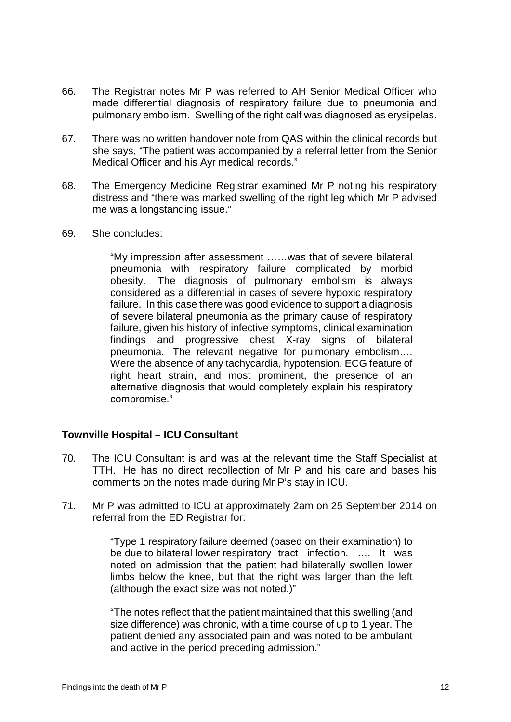- 66. The Registrar notes Mr P was referred to AH Senior Medical Officer who made differential diagnosis of respiratory failure due to pneumonia and pulmonary embolism. Swelling of the right calf was diagnosed as erysipelas.
- 67. There was no written handover note from QAS within the clinical records but she says, "The patient was accompanied by a referral letter from the Senior Medical Officer and his Ayr medical records."
- 68. The Emergency Medicine Registrar examined Mr P noting his respiratory distress and "there was marked swelling of the right leg which Mr P advised me was a longstanding issue."
- 69. She concludes:

"My impression after assessment ……was that of severe bilateral pneumonia with respiratory failure complicated by morbid obesity. The diagnosis of pulmonary embolism is always considered as a differential in cases of severe hypoxic respiratory failure. In this case there was good evidence to support a diagnosis of severe bilateral pneumonia as the primary cause of respiratory failure, given his history of infective symptoms, clinical examination findings and progressive chest X-ray signs of bilateral pneumonia. The relevant negative for pulmonary embolism…. Were the absence of any tachycardia, hypotension, ECG feature of right heart strain, and most prominent, the presence of an alternative diagnosis that would completely explain his respiratory compromise."

# <span id="page-13-0"></span>**Townville Hospital – ICU Consultant**

- 70. The ICU Consultant is and was at the relevant time the Staff Specialist at TTH. He has no direct recollection of Mr P and his care and bases his comments on the notes made during Mr P's stay in ICU.
- 71. Mr P was admitted to ICU at approximately 2am on 25 September 2014 on referral from the ED Registrar for:

"Type 1 respiratory failure deemed (based on their examination) to be due to bilateral lower respiratory tract infection. …. It was noted on admission that the patient had bilaterally swollen lower limbs below the knee, but that the right was larger than the left (although the exact size was not noted.)"

"The notes reflect that the patient maintained that this swelling (and size difference) was chronic, with a time course of up to 1 year. The patient denied any associated pain and was noted to be ambulant and active in the period preceding admission."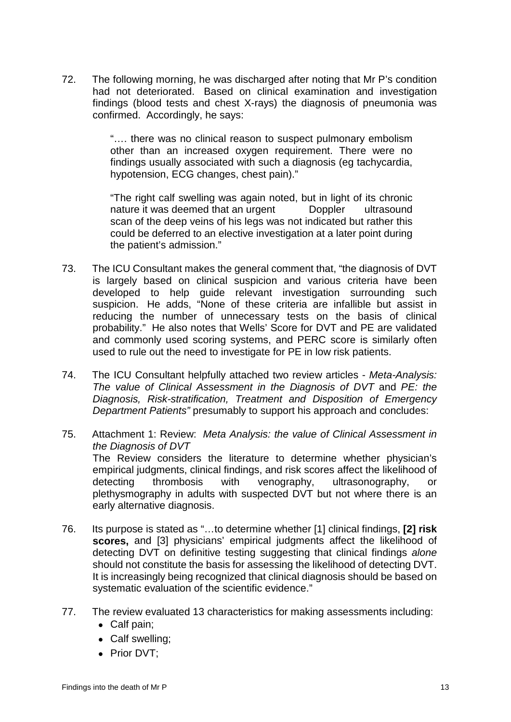72. The following morning, he was discharged after noting that Mr P's condition had not deteriorated. Based on clinical examination and investigation findings (blood tests and chest X-rays) the diagnosis of pneumonia was confirmed. Accordingly, he says:

> "…. there was no clinical reason to suspect pulmonary embolism other than an increased oxygen requirement. There were no findings usually associated with such a diagnosis (eg tachycardia, hypotension, ECG changes, chest pain)."

> "The right calf swelling was again noted, but in light of its chronic nature it was deemed that an urgent Doppler ultrasound scan of the deep veins of his legs was not indicated but rather this could be deferred to an elective investigation at a later point during the patient's admission."

- 73. The ICU Consultant makes the general comment that, "the diagnosis of DVT is largely based on clinical suspicion and various criteria have been developed to help guide relevant investigation surrounding such suspicion. He adds, "None of these criteria are infallible but assist in reducing the number of unnecessary tests on the basis of clinical probability." He also notes that Wells' Score for DVT and PE are validated and commonly used scoring systems, and PERC score is similarly often used to rule out the need to investigate for PE in low risk patients.
- 74. The ICU Consultant helpfully attached two review articles *Meta-Analysis: The value of Clinical Assessment in the Diagnosis of DVT* and *PE: the Diagnosis, Risk-stratification, Treatment and Disposition of Emergency Department Patients"* presumably to support his approach and concludes:
- 75. Attachment 1: Review: *Meta Analysis: the value of Clinical Assessment in the Diagnosis of DVT* The Review considers the literature to determine whether physician's empirical judgments, clinical findings, and risk scores affect the likelihood of detecting thrombosis with venography, ultrasonography, or plethysmography in adults with suspected DVT but not where there is an early alternative diagnosis.
- 76. Its purpose is stated as "…to determine whether [1] clinical findings, **[2] risk scores,** and [3] physicians' empirical judgments affect the likelihood of detecting DVT on definitive testing suggesting that clinical findings *alone* should not constitute the basis for assessing the likelihood of detecting DVT. It is increasingly being recognized that clinical diagnosis should be based on systematic evaluation of the scientific evidence."
- 77. The review evaluated 13 characteristics for making assessments including:
	- Calf pain;
	- Calf swelling;
	- Prior DVT;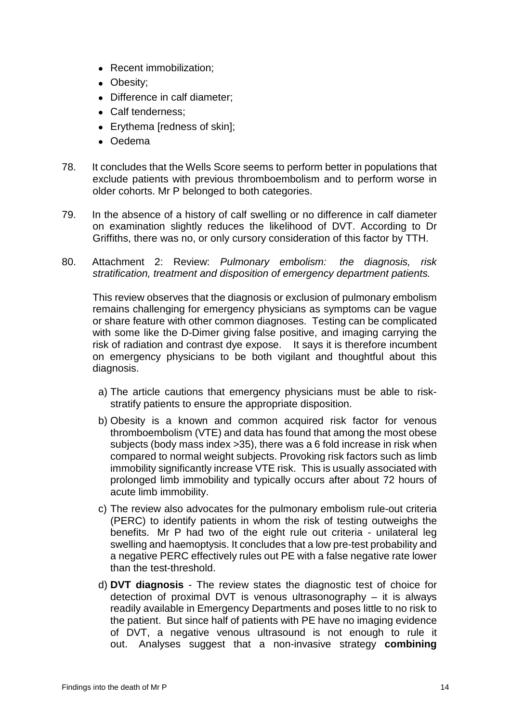- Recent immobilization;
- Obesity;
- Difference in calf diameter;
- Calf tenderness;
- Erythema [redness of skin];
- Oedema
- 78. It concludes that the Wells Score seems to perform better in populations that exclude patients with previous thromboembolism and to perform worse in older cohorts. Mr P belonged to both categories.
- 79. In the absence of a history of calf swelling or no difference in calf diameter on examination slightly reduces the likelihood of DVT. According to Dr Griffiths, there was no, or only cursory consideration of this factor by TTH.
- 80. Attachment 2: Review: *Pulmonary embolism: the diagnosis, risk stratification, treatment and disposition of emergency department patients.*

This review observes that the diagnosis or exclusion of pulmonary embolism remains challenging for emergency physicians as symptoms can be vague or share feature with other common diagnoses. Testing can be complicated with some like the D-Dimer giving false positive, and imaging carrying the risk of radiation and contrast dye expose. It says it is therefore incumbent on emergency physicians to be both vigilant and thoughtful about this diagnosis.

- a) The article cautions that emergency physicians must be able to riskstratify patients to ensure the appropriate disposition.
- b) Obesity is a known and common acquired risk factor for venous thromboembolism (VTE) and data has found that among the most obese subjects (body mass index >35), there was a 6 fold increase in risk when compared to normal weight subjects. Provoking risk factors such as limb immobility significantly increase VTE risk. This is usually associated with prolonged limb immobility and typically occurs after about 72 hours of acute limb immobility.
- c) The review also advocates for the pulmonary embolism rule-out criteria (PERC) to identify patients in whom the risk of testing outweighs the benefits. Mr P had two of the eight rule out criteria - unilateral leg swelling and haemoptysis. It concludes that a low pre-test probability and a negative PERC effectively rules out PE with a false negative rate lower than the test-threshold.
- d) **DVT diagnosis** The review states the diagnostic test of choice for detection of proximal DVT is venous ultrasonography – it is always readily available in Emergency Departments and poses little to no risk to the patient. But since half of patients with PE have no imaging evidence of DVT, a negative venous ultrasound is not enough to rule it out. Analyses suggest that a non-invasive strategy **combining**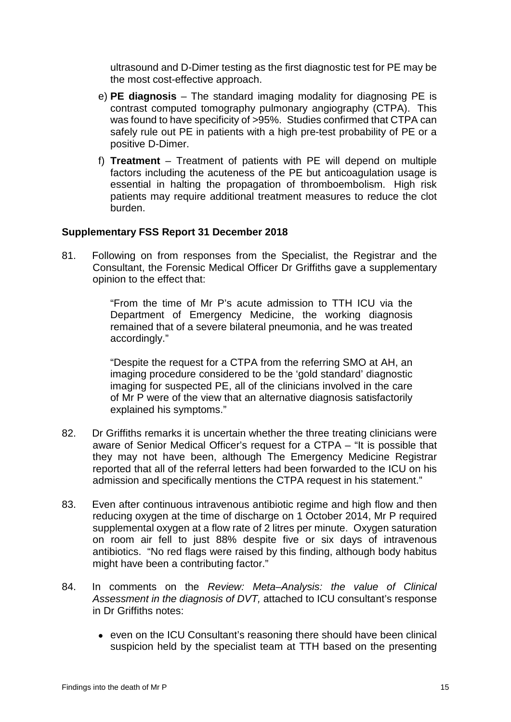ultrasound and D-Dimer testing as the first diagnostic test for PE may be the most cost-effective approach.

- e) **PE diagnosis**  The standard imaging modality for diagnosing PE is contrast computed tomography pulmonary angiography (CTPA). This was found to have specificity of >95%. Studies confirmed that CTPA can safely rule out PE in patients with a high pre-test probability of PE or a positive D-Dimer.
- f) **Treatment**  Treatment of patients with PE will depend on multiple factors including the acuteness of the PE but anticoagulation usage is essential in halting the propagation of thromboembolism. High risk patients may require additional treatment measures to reduce the clot burden.

#### <span id="page-16-0"></span>**Supplementary FSS Report 31 December 2018**

81. Following on from responses from the Specialist, the Registrar and the Consultant, the Forensic Medical Officer Dr Griffiths gave a supplementary opinion to the effect that:

> "From the time of Mr P's acute admission to TTH ICU via the Department of Emergency Medicine, the working diagnosis remained that of a severe bilateral pneumonia, and he was treated accordingly."

> "Despite the request for a CTPA from the referring SMO at AH, an imaging procedure considered to be the 'gold standard' diagnostic imaging for suspected PE, all of the clinicians involved in the care of Mr P were of the view that an alternative diagnosis satisfactorily explained his symptoms."

- 82. Dr Griffiths remarks it is uncertain whether the three treating clinicians were aware of Senior Medical Officer's request for a CTPA – "It is possible that they may not have been, although The Emergency Medicine Registrar reported that all of the referral letters had been forwarded to the ICU on his admission and specifically mentions the CTPA request in his statement."
- 83. Even after continuous intravenous antibiotic regime and high flow and then reducing oxygen at the time of discharge on 1 October 2014, Mr P required supplemental oxygen at a flow rate of 2 litres per minute. Oxygen saturation on room air fell to just 88% despite five or six days of intravenous antibiotics. "No red flags were raised by this finding, although body habitus might have been a contributing factor."
- 84. In comments on the *Review: Meta–Analysis: the value of Clinical Assessment in the diagnosis of DVT,* attached to ICU consultant's response in Dr Griffiths notes:
	- even on the ICU Consultant's reasoning there should have been clinical suspicion held by the specialist team at TTH based on the presenting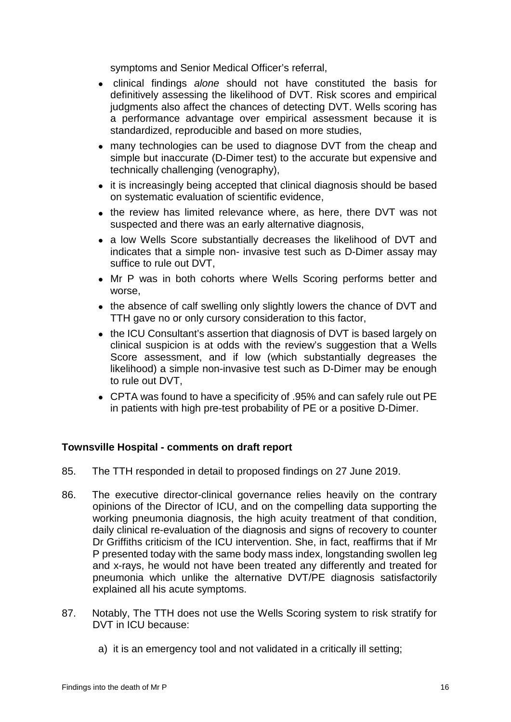symptoms and Senior Medical Officer's referral,

- clinical findings *alone* should not have constituted the basis for definitively assessing the likelihood of DVT. Risk scores and empirical judgments also affect the chances of detecting DVT. Wells scoring has a performance advantage over empirical assessment because it is standardized, reproducible and based on more studies,
- many technologies can be used to diagnose DVT from the cheap and simple but inaccurate (D-Dimer test) to the accurate but expensive and technically challenging (venography),
- it is increasingly being accepted that clinical diagnosis should be based on systematic evaluation of scientific evidence,
- the review has limited relevance where, as here, there DVT was not suspected and there was an early alternative diagnosis,
- a low Wells Score substantially decreases the likelihood of DVT and indicates that a simple non- invasive test such as D-Dimer assay may suffice to rule out DVT,
- Mr P was in both cohorts where Wells Scoring performs better and worse,
- the absence of calf swelling only slightly lowers the chance of DVT and TTH gave no or only cursory consideration to this factor,
- the ICU Consultant's assertion that diagnosis of DVT is based largely on clinical suspicion is at odds with the review's suggestion that a Wells Score assessment, and if low (which substantially degreases the likelihood) a simple non-invasive test such as D-Dimer may be enough to rule out DVT,
- CPTA was found to have a specificity of .95% and can safely rule out PE in patients with high pre-test probability of PE or a positive D-Dimer.

#### <span id="page-17-0"></span>**Townsville Hospital - comments on draft report**

- 85. The TTH responded in detail to proposed findings on 27 June 2019.
- 86. The executive director-clinical governance relies heavily on the contrary opinions of the Director of ICU, and on the compelling data supporting the working pneumonia diagnosis, the high acuity treatment of that condition, daily clinical re-evaluation of the diagnosis and signs of recovery to counter Dr Griffiths criticism of the ICU intervention. She, in fact, reaffirms that if Mr P presented today with the same body mass index, longstanding swollen leg and x-rays, he would not have been treated any differently and treated for pneumonia which unlike the alternative DVT/PE diagnosis satisfactorily explained all his acute symptoms.
- 87. Notably, The TTH does not use the Wells Scoring system to risk stratify for DVT in ICU because:
	- a) it is an emergency tool and not validated in a critically ill setting;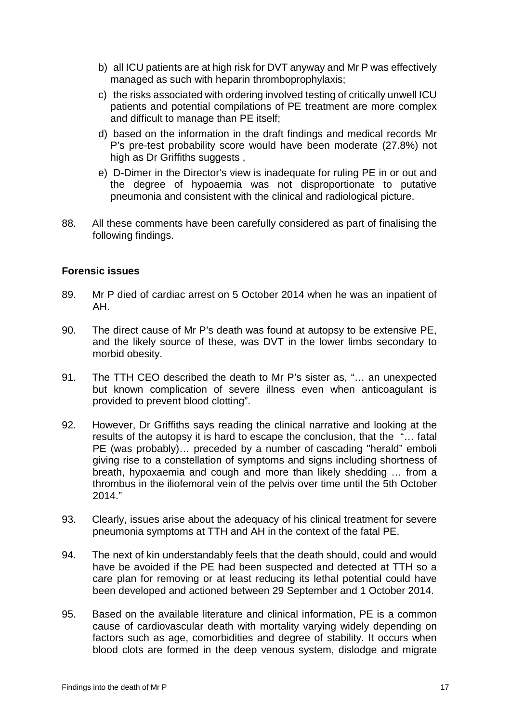- b) all ICU patients are at high risk for DVT anyway and Mr P was effectively managed as such with heparin thromboprophylaxis;
- c) the risks associated with ordering involved testing of critically unwell ICU patients and potential compilations of PE treatment are more complex and difficult to manage than PE itself;
- d) based on the information in the draft findings and medical records Mr P's pre-test probability score would have been moderate (27.8%) not high as Dr Griffiths suggests.
- e) D-Dimer in the Director's view is inadequate for ruling PE in or out and the degree of hypoaemia was not disproportionate to putative pneumonia and consistent with the clinical and radiological picture.
- 88. All these comments have been carefully considered as part of finalising the following findings.

#### <span id="page-18-0"></span>**Forensic issues**

- 89. Mr P died of cardiac arrest on 5 October 2014 when he was an inpatient of AH.
- 90. The direct cause of Mr P's death was found at autopsy to be extensive PE, and the likely source of these, was DVT in the lower limbs secondary to morbid obesity.
- 91. The TTH CEO described the death to Mr P's sister as, "… an unexpected but known complication of severe illness even when anticoagulant is provided to prevent blood clotting".
- 92. However, Dr Griffiths says reading the clinical narrative and looking at the results of the autopsy it is hard to escape the conclusion, that the "… fatal PE (was probably)… preceded by a number of cascading "herald" emboli giving rise to a constellation of symptoms and signs including shortness of breath, hypoxaemia and cough and more than likely shedding … from a thrombus in the iliofemoral vein of the pelvis over time until the 5th October 2014."
- 93. Clearly, issues arise about the adequacy of his clinical treatment for severe pneumonia symptoms at TTH and AH in the context of the fatal PE.
- 94. The next of kin understandably feels that the death should, could and would have be avoided if the PE had been suspected and detected at TTH so a care plan for removing or at least reducing its lethal potential could have been developed and actioned between 29 September and 1 October 2014.
- 95. Based on the available literature and clinical information, PE is a common cause of cardiovascular death with mortality varying widely depending on factors such as age, comorbidities and degree of stability. It occurs when blood clots are formed in the deep venous system, dislodge and migrate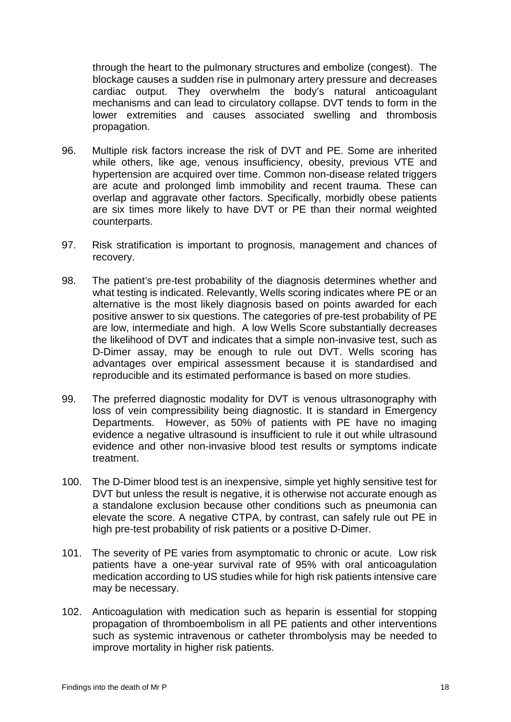through the heart to the pulmonary structures and embolize (congest). The blockage causes a sudden rise in pulmonary artery pressure and decreases cardiac output. They overwhelm the body's natural anticoagulant mechanisms and can lead to circulatory collapse. DVT tends to form in the lower extremities and causes associated swelling and thrombosis propagation.

- 96. Multiple risk factors increase the risk of DVT and PE. Some are inherited while others, like age, venous insufficiency, obesity, previous VTE and hypertension are acquired over time. Common non-disease related triggers are acute and prolonged limb immobility and recent trauma. These can overlap and aggravate other factors. Specifically, morbidly obese patients are six times more likely to have DVT or PE than their normal weighted counterparts.
- 97. Risk stratification is important to prognosis, management and chances of recovery.
- 98. The patient's pre-test probability of the diagnosis determines whether and what testing is indicated. Relevantly, Wells scoring indicates where PE or an alternative is the most likely diagnosis based on points awarded for each positive answer to six questions. The categories of pre-test probability of PE are low, intermediate and high. A low Wells Score substantially decreases the likelihood of DVT and indicates that a simple non-invasive test, such as D-Dimer assay, may be enough to rule out DVT. Wells scoring has advantages over empirical assessment because it is standardised and reproducible and its estimated performance is based on more studies.
- 99. The preferred diagnostic modality for DVT is venous ultrasonography with loss of vein compressibility being diagnostic. It is standard in Emergency Departments. However, as 50% of patients with PE have no imaging evidence a negative ultrasound is insufficient to rule it out while ultrasound evidence and other non-invasive blood test results or symptoms indicate treatment.
- 100. The D-Dimer blood test is an inexpensive, simple yet highly sensitive test for DVT but unless the result is negative, it is otherwise not accurate enough as a standalone exclusion because other conditions such as pneumonia can elevate the score. A negative CTPA, by contrast, can safely rule out PE in high pre-test probability of risk patients or a positive D-Dimer.
- 101. The severity of PE varies from asymptomatic to chronic or acute. Low risk patients have a one-year survival rate of 95% with oral anticoagulation medication according to US studies while for high risk patients intensive care may be necessary.
- 102. Anticoagulation with medication such as heparin is essential for stopping propagation of thromboembolism in all PE patients and other interventions such as systemic intravenous or catheter thrombolysis may be needed to improve mortality in higher risk patients.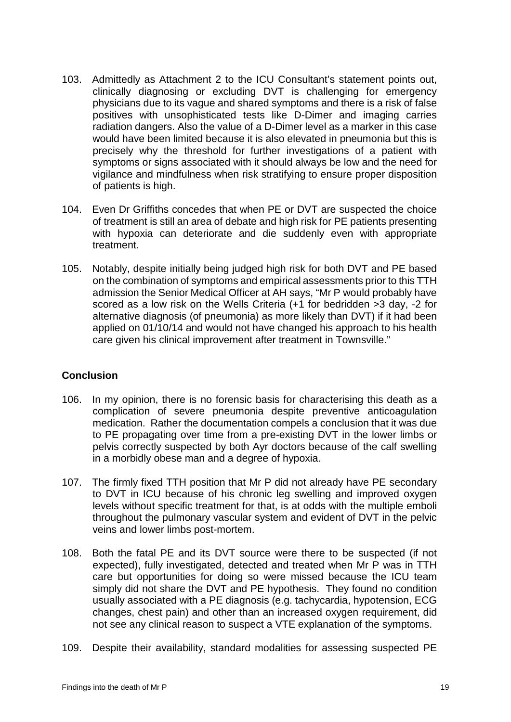- 103. Admittedly as Attachment 2 to the ICU Consultant's statement points out, clinically diagnosing or excluding DVT is challenging for emergency physicians due to its vague and shared symptoms and there is a risk of false positives with unsophisticated tests like D-Dimer and imaging carries radiation dangers. Also the value of a D-Dimer level as a marker in this case would have been limited because it is also elevated in pneumonia but this is precisely why the threshold for further investigations of a patient with symptoms or signs associated with it should always be low and the need for vigilance and mindfulness when risk stratifying to ensure proper disposition of patients is high.
- 104. Even Dr Griffiths concedes that when PE or DVT are suspected the choice of treatment is still an area of debate and high risk for PE patients presenting with hypoxia can deteriorate and die suddenly even with appropriate treatment.
- 105. Notably, despite initially being judged high risk for both DVT and PE based on the combination of symptoms and empirical assessments prior to this TTH admission the Senior Medical Officer at AH says, "Mr P would probably have scored as a low risk on the Wells Criteria (+1 for bedridden >3 day, -2 for alternative diagnosis (of pneumonia) as more likely than DVT) if it had been applied on 01/10/14 and would not have changed his approach to his health care given his clinical improvement after treatment in Townsville."

# <span id="page-20-0"></span>**Conclusion**

- 106. In my opinion, there is no forensic basis for characterising this death as a complication of severe pneumonia despite preventive anticoagulation medication. Rather the documentation compels a conclusion that it was due to PE propagating over time from a pre-existing DVT in the lower limbs or pelvis correctly suspected by both Ayr doctors because of the calf swelling in a morbidly obese man and a degree of hypoxia.
- 107. The firmly fixed TTH position that Mr P did not already have PE secondary to DVT in ICU because of his chronic leg swelling and improved oxygen levels without specific treatment for that, is at odds with the multiple emboli throughout the pulmonary vascular system and evident of DVT in the pelvic veins and lower limbs post-mortem.
- 108. Both the fatal PE and its DVT source were there to be suspected (if not expected), fully investigated, detected and treated when Mr P was in TTH care but opportunities for doing so were missed because the ICU team simply did not share the DVT and PE hypothesis. They found no condition usually associated with a PE diagnosis (e.g. tachycardia, hypotension, ECG changes, chest pain) and other than an increased oxygen requirement, did not see any clinical reason to suspect a VTE explanation of the symptoms.
- 109. Despite their availability, standard modalities for assessing suspected PE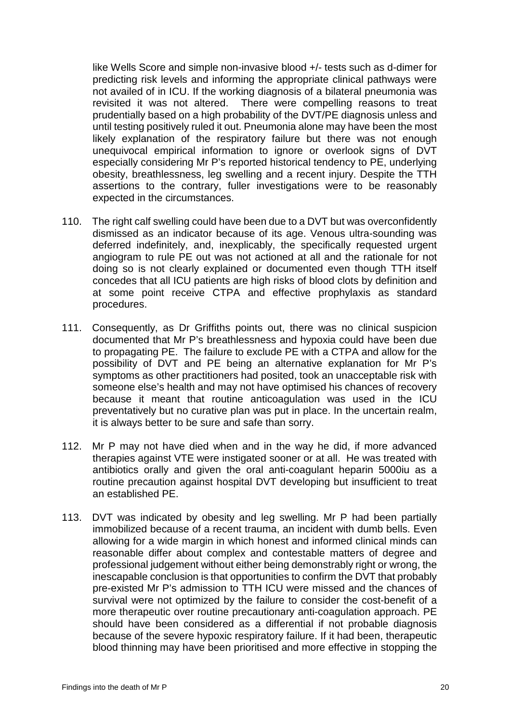like Wells Score and simple non-invasive blood +/- tests such as d-dimer for predicting risk levels and informing the appropriate clinical pathways were not availed of in ICU. If the working diagnosis of a bilateral pneumonia was revisited it was not altered. There were compelling reasons to treat prudentially based on a high probability of the DVT/PE diagnosis unless and until testing positively ruled it out. Pneumonia alone may have been the most likely explanation of the respiratory failure but there was not enough unequivocal empirical information to ignore or overlook signs of DVT especially considering Mr P's reported historical tendency to PE, underlying obesity, breathlessness, leg swelling and a recent injury. Despite the TTH assertions to the contrary, fuller investigations were to be reasonably expected in the circumstances.

- 110. The right calf swelling could have been due to a DVT but was overconfidently dismissed as an indicator because of its age. Venous ultra-sounding was deferred indefinitely, and, inexplicably, the specifically requested urgent angiogram to rule PE out was not actioned at all and the rationale for not doing so is not clearly explained or documented even though TTH itself concedes that all ICU patients are high risks of blood clots by definition and at some point receive CTPA and effective prophylaxis as standard procedures.
- 111. Consequently, as Dr Griffiths points out, there was no clinical suspicion documented that Mr P's breathlessness and hypoxia could have been due to propagating PE. The failure to exclude PE with a CTPA and allow for the possibility of DVT and PE being an alternative explanation for Mr P's symptoms as other practitioners had posited, took an unacceptable risk with someone else's health and may not have optimised his chances of recovery because it meant that routine anticoagulation was used in the ICU preventatively but no curative plan was put in place. In the uncertain realm, it is always better to be sure and safe than sorry.
- 112. Mr P may not have died when and in the way he did, if more advanced therapies against VTE were instigated sooner or at all. He was treated with antibiotics orally and given the oral anti-coagulant heparin 5000iu as a routine precaution against hospital DVT developing but insufficient to treat an established PE.
- 113. DVT was indicated by obesity and leg swelling. Mr P had been partially immobilized because of a recent trauma, an incident with dumb bells. Even allowing for a wide margin in which honest and informed clinical minds can reasonable differ about complex and contestable matters of degree and professional judgement without either being demonstrably right or wrong, the inescapable conclusion is that opportunities to confirm the DVT that probably pre-existed Mr P's admission to TTH ICU were missed and the chances of survival were not optimized by the failure to consider the cost-benefit of a more therapeutic over routine precautionary anti-coagulation approach. PE should have been considered as a differential if not probable diagnosis because of the severe hypoxic respiratory failure. If it had been, therapeutic blood thinning may have been prioritised and more effective in stopping the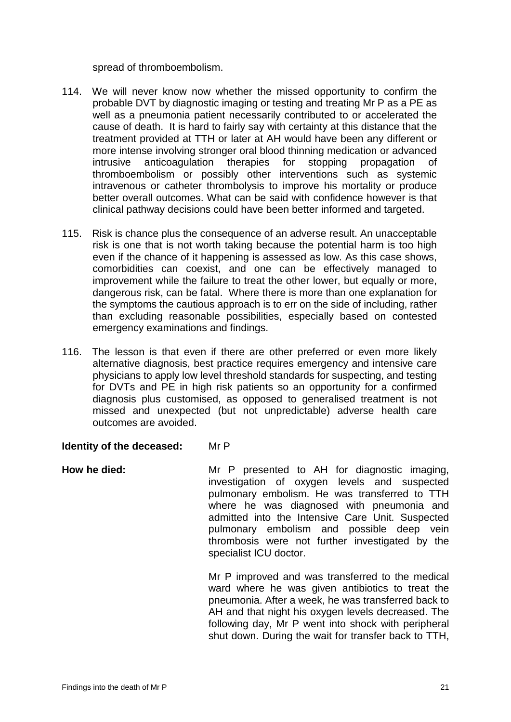spread of thromboembolism.

- 114. We will never know now whether the missed opportunity to confirm the probable DVT by diagnostic imaging or testing and treating Mr P as a PE as well as a pneumonia patient necessarily contributed to or accelerated the cause of death. It is hard to fairly say with certainty at this distance that the treatment provided at TTH or later at AH would have been any different or more intense involving stronger oral blood thinning medication or advanced intrusive anticoagulation therapies for stopping propagation of thromboembolism or possibly other interventions such as systemic intravenous or catheter thrombolysis to improve his mortality or produce better overall outcomes. What can be said with confidence however is that clinical pathway decisions could have been better informed and targeted.
- 115. Risk is chance plus the consequence of an adverse result. An unacceptable risk is one that is not worth taking because the potential harm is too high even if the chance of it happening is assessed as low. As this case shows, comorbidities can coexist, and one can be effectively managed to improvement while the failure to treat the other lower, but equally or more, dangerous risk, can be fatal. Where there is more than one explanation for the symptoms the cautious approach is to err on the side of including, rather than excluding reasonable possibilities, especially based on contested emergency examinations and findings.
- 116. The lesson is that even if there are other preferred or even more likely alternative diagnosis, best practice requires emergency and intensive care physicians to apply low level threshold standards for suspecting, and testing for DVTs and PE in high risk patients so an opportunity for a confirmed diagnosis plus customised, as opposed to generalised treatment is not missed and unexpected (but not unpredictable) adverse health care outcomes are avoided.

#### **Identity of the deceased:** Mr P

How he died: Mr P presented to AH for diagnostic imaging, investigation of oxygen levels and suspected pulmonary embolism. He was transferred to TTH where he was diagnosed with pneumonia and admitted into the Intensive Care Unit. Suspected pulmonary embolism and possible deep vein thrombosis were not further investigated by the specialist ICU doctor.

> Mr P improved and was transferred to the medical ward where he was given antibiotics to treat the pneumonia. After a week, he was transferred back to AH and that night his oxygen levels decreased. The following day, Mr P went into shock with peripheral shut down. During the wait for transfer back to TTH,